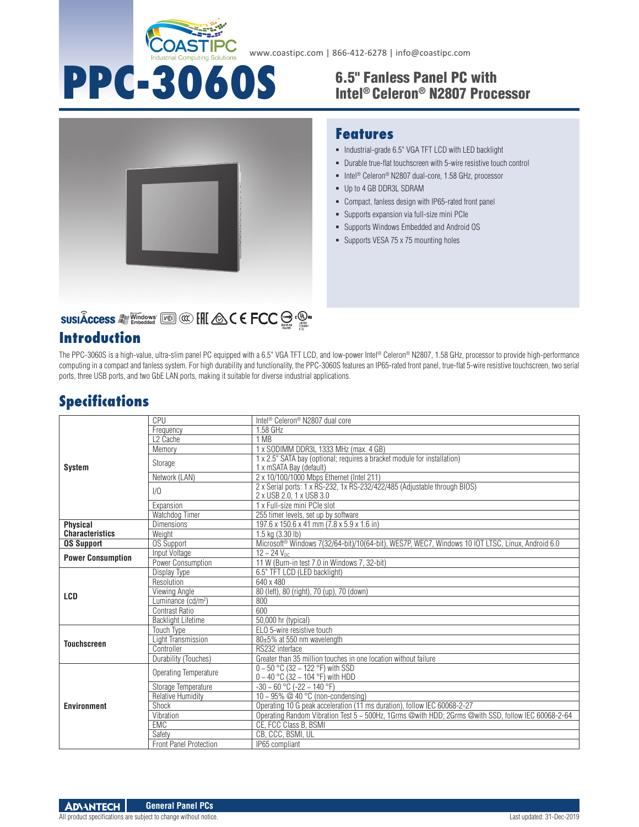

www.coastipc.com | 866-412-6278 | info@coastipc.com

# Intel® Celeron® N2807 Processor



# SUSIÂCCESS A VALLEY SUSIACCESS A VALLEY SUSIACCESS A VALUE

### **Introduction**

# **PPC-3060S** 6.5" Fanless Panel PC with

#### **Features**

- $\blacksquare$  Industrial-grade 6.5" VGA TFT LCD with LED backlight
- Durable true-flat touchscreen with 5-wire resistive touch control
- Intel<sup>®</sup> Celeron<sup>®</sup> N2807 dual-core, 1.58 GHz, processor
- Up to 4 GB DDR3L SDRAM
- Compact, fanless design with IP65-rated front panel
- Supports expansion via full-size mini PCIe
- Supports Windows Embedded and Android OS
- Supports VESA 75 x 75 mounting holes

The PPC-3060S is a high-value, ultra-slim panel PC equipped with a 6.5" VGA TFT LCD, and low-power Intel® Celeron® N2807, 1.58 GHz, processor to provide high-performance computing in a compact and fanless system. For high durability and functionality, the PPC-3060S features an IP65-rated front panel, true-flat 5-wire resistive touchscreen, two serial ports, three USB ports, and two GbE LAN ports, making it suitable for diverse industrial applications.

## **Specifications**

| <b>System</b>                             | CPU                            | Intel <sup>®</sup> Celeron <sup>®</sup> N2807 dual core                                               |
|-------------------------------------------|--------------------------------|-------------------------------------------------------------------------------------------------------|
|                                           | Frequency                      | 1.58 GHz                                                                                              |
|                                           | L <sub>2</sub> Cache           | 1 MB                                                                                                  |
|                                           | Memory                         | 1 x SODIMM DDR3L 1333 MHz (max. 4 GB)                                                                 |
|                                           | Storage                        | 1 x 2.5" SATA bay (optional; requires a bracket module for installation)<br>1 x mSATA Bay (default)   |
|                                           | Network (LAN)                  | 2 x 10/100/1000 Mbps Ethernet (Intel 211)                                                             |
|                                           | 1/0                            | 2 x Serial ports: 1 x RS-232, 1x RS-232/422/485 (Adjustable through BIOS)<br>2 x USB 2.0, 1 x USB 3.0 |
|                                           | Expansion                      | 1 x Full-size mini PCIe slot                                                                          |
|                                           | Watchdog Timer                 | 255 timer levels, set up by software                                                                  |
| <b>Physical</b><br><b>Characteristics</b> | <b>Dimensions</b>              | 197.6 x 150.6 x 41 mm (7.8 x 5.9 x 1.6 in)                                                            |
|                                           | Weight                         | 1.5 kg (3.30 lb)                                                                                      |
| <b>OS Support</b>                         | <b>OS Support</b>              | Microsoft® Windows 7(32/64-bit)/10(64-bit), WES7P, WEC7, Windows 10 IOT LTSC, Linux, Android 6.0      |
| <b>Power Consumption</b>                  | Input Voltage                  | $12 - 24$ V <sub>nc</sub>                                                                             |
|                                           | Power Consumption              | 11 W (Burn-in test 7.0 in Windows 7, 32-bit)                                                          |
| LCD                                       | Display Type                   | 6.5" TFT LCD (LED backlight)                                                                          |
|                                           | Resolution                     | 640 x 480                                                                                             |
|                                           | Viewing Angle                  | 80 (left), 80 (right), 70 (up), 70 (down)                                                             |
|                                           | Luminance (cd/m <sup>2</sup> ) | 800                                                                                                   |
|                                           | Contrast Ratio                 | 600                                                                                                   |
|                                           | <b>Backlight Lifetime</b>      | 50,000 hr (typical)                                                                                   |
| <b>Touchscreen</b>                        | <b>Touch Type</b>              | ELO 5-wire resistive touch                                                                            |
|                                           | Light Transmission             | 80±5% at 550 nm wavelength                                                                            |
|                                           | Controller                     | RS232 interface                                                                                       |
|                                           | Durability (Touches)           | Greater than 35 million touches in one location without failure                                       |
| <b>Environment</b>                        | Operating Temperature          | $0 \sim 50$ °C (32 ~ 122 °F) with SSD<br>$0 \sim 40$ °C (32 ~ 104 °F) with HDD                        |
|                                           | Storage Temperature            | $-30 \sim 60$ °C ( $-22 \sim 140$ °F)                                                                 |
|                                           | <b>Relative Humidity</b>       | 10 ~ 95% @ 40 °C (non-condensing)                                                                     |
|                                           | Shock                          | Operating 10 G peak acceleration (11 ms duration), follow IEC 60068-2-27                              |
|                                           | Vibration                      | Operating Random Vibration Test 5 ~ 500Hz. 1Grms @with HDD: 2Grms @with SSD, follow IEC 60068-2-64    |
|                                           | <b>EMC</b>                     | CE. FCC Class B. BSMI                                                                                 |
|                                           | Safety                         | CB, CCC, BSMI, UL                                                                                     |
|                                           | <b>Front Panel Protection</b>  | IP65 compliant                                                                                        |